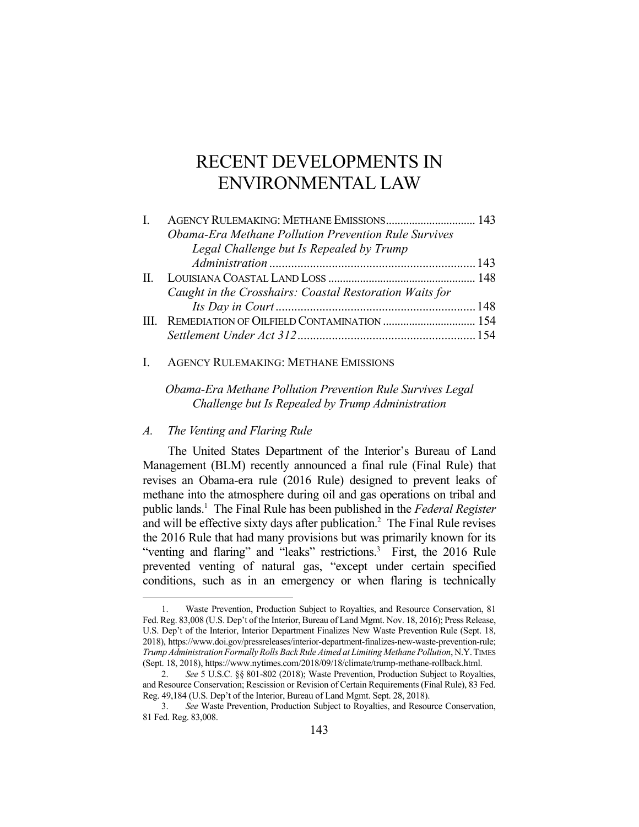# RECENT DEVELOPMENTS IN ENVIRONMENTAL LAW

| L | AGENCY RULEMAKING: METHANE EMISSIONS 143                |  |
|---|---------------------------------------------------------|--|
|   | Obama-Era Methane Pollution Prevention Rule Survives    |  |
|   | Legal Challenge but Is Repealed by Trump                |  |
|   |                                                         |  |
|   |                                                         |  |
|   | Caught in the Crosshairs: Coastal Restoration Waits for |  |
|   |                                                         |  |
|   |                                                         |  |
|   |                                                         |  |

## I. AGENCY RULEMAKING: METHANE EMISSIONS

*Obama-Era Methane Pollution Prevention Rule Survives Legal Challenge but Is Repealed by Trump Administration* 

## *A. The Venting and Flaring Rule*

1

The United States Department of the Interior's Bureau of Land Management (BLM) recently announced a final rule (Final Rule) that revises an Obama-era rule (2016 Rule) designed to prevent leaks of methane into the atmosphere during oil and gas operations on tribal and public lands.1 The Final Rule has been published in the *Federal Register* and will be effective sixty days after publication.<sup>2</sup> The Final Rule revises the 2016 Rule that had many provisions but was primarily known for its "venting and flaring" and "leaks" restrictions.<sup>3</sup> First, the 2016 Rule prevented venting of natural gas, "except under certain specified conditions, such as in an emergency or when flaring is technically

 <sup>1.</sup> Waste Prevention, Production Subject to Royalties, and Resource Conservation, 81 Fed. Reg. 83,008 (U.S. Dep't of the Interior, Bureau of Land Mgmt. Nov. 18, 2016); Press Release, U.S. Dep't of the Interior, Interior Department Finalizes New Waste Prevention Rule (Sept. 18, 2018), https://www.doi.gov/pressreleases/interior-department-finalizes-new-waste-prevention-rule; *Trump Administration Formally Rolls Back Rule Aimed at Limiting Methane Pollution*, N.Y.TIMES (Sept. 18, 2018), https://www.nytimes.com/2018/09/18/climate/trump-methane-rollback.html.

 <sup>2.</sup> *See* 5 U.S.C. §§ 801-802 (2018); Waste Prevention, Production Subject to Royalties, and Resource Conservation; Rescission or Revision of Certain Requirements (Final Rule), 83 Fed. Reg. 49,184 (U.S. Dep't of the Interior, Bureau of Land Mgmt. Sept. 28, 2018).

 <sup>3.</sup> *See* Waste Prevention, Production Subject to Royalties, and Resource Conservation, 81 Fed. Reg. 83,008.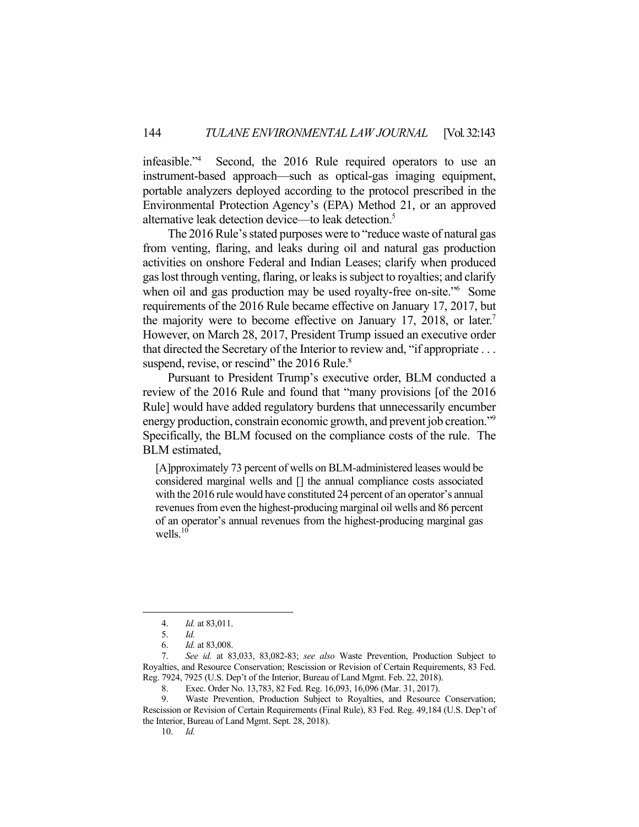infeasible."4 Second, the 2016 Rule required operators to use an instrument-based approach—such as optical-gas imaging equipment, portable analyzers deployed according to the protocol prescribed in the Environmental Protection Agency's (EPA) Method 21, or an approved alternative leak detection device—to leak detection.5

 The 2016 Rule's stated purposes were to "reduce waste of natural gas from venting, flaring, and leaks during oil and natural gas production activities on onshore Federal and Indian Leases; clarify when produced gas lost through venting, flaring, or leaks is subject to royalties; and clarify when oil and gas production may be used royalty-free on-site."<sup>6</sup> Some requirements of the 2016 Rule became effective on January 17, 2017, but the majority were to become effective on January 17, 2018, or later.<sup>7</sup> However, on March 28, 2017, President Trump issued an executive order that directed the Secretary of the Interior to review and, "if appropriate . . . suspend, revise, or rescind" the 2016 Rule.<sup>8</sup>

 Pursuant to President Trump's executive order, BLM conducted a review of the 2016 Rule and found that "many provisions [of the 2016 Rule] would have added regulatory burdens that unnecessarily encumber energy production, constrain economic growth, and prevent job creation."<sup>9</sup> Specifically, the BLM focused on the compliance costs of the rule. The BLM estimated,

[A]pproximately 73 percent of wells on BLM-administered leases would be considered marginal wells and [] the annual compliance costs associated with the 2016 rule would have constituted 24 percent of an operator's annual revenues from even the highest-producing marginal oil wells and 86 percent of an operator's annual revenues from the highest-producing marginal gas wells. $10$ 

 <sup>4.</sup> *Id.* at 83,011.

 <sup>5.</sup> *Id.*

 <sup>6.</sup> *Id.* at 83,008.

 <sup>7.</sup> *See id.* at 83,033, 83,082-83; *see also* Waste Prevention, Production Subject to Royalties, and Resource Conservation; Rescission or Revision of Certain Requirements, 83 Fed. Reg. 7924, 7925 (U.S. Dep't of the Interior, Bureau of Land Mgmt. Feb. 22, 2018).

 <sup>8.</sup> Exec. Order No. 13,783, 82 Fed. Reg. 16,093, 16,096 (Mar. 31, 2017).

 <sup>9.</sup> Waste Prevention, Production Subject to Royalties, and Resource Conservation; Rescission or Revision of Certain Requirements (Final Rule), 83 Fed. Reg. 49,184 (U.S. Dep't of the Interior, Bureau of Land Mgmt. Sept. 28, 2018).

 <sup>10.</sup> *Id.*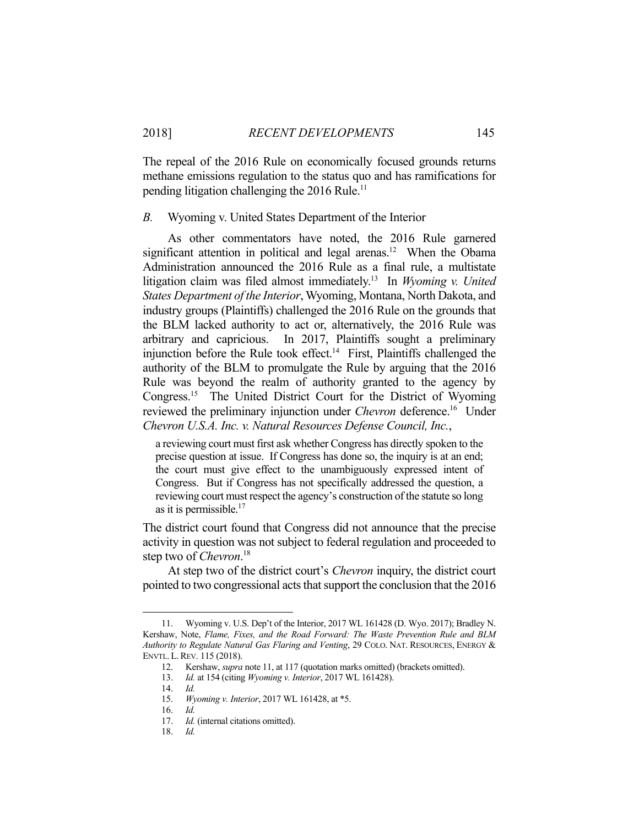The repeal of the 2016 Rule on economically focused grounds returns methane emissions regulation to the status quo and has ramifications for pending litigation challenging the  $2016$  Rule.<sup>11</sup>

#### *B.* Wyoming v. United States Department of the Interior

 As other commentators have noted, the 2016 Rule garnered significant attention in political and legal arenas.<sup>12</sup> When the Obama Administration announced the 2016 Rule as a final rule, a multistate litigation claim was filed almost immediately.13 In *Wyoming v. United States Department of the Interior*, Wyoming, Montana, North Dakota, and industry groups (Plaintiffs) challenged the 2016 Rule on the grounds that the BLM lacked authority to act or, alternatively, the 2016 Rule was arbitrary and capricious. In 2017, Plaintiffs sought a preliminary injunction before the Rule took effect.<sup>14</sup> First, Plaintiffs challenged the authority of the BLM to promulgate the Rule by arguing that the 2016 Rule was beyond the realm of authority granted to the agency by Congress.15 The United District Court for the District of Wyoming reviewed the preliminary injunction under *Chevron* deference.16 Under *Chevron U.S.A. Inc. v. Natural Resources Defense Council, Inc.*,

a reviewing court must first ask whether Congress has directly spoken to the precise question at issue. If Congress has done so, the inquiry is at an end; the court must give effect to the unambiguously expressed intent of Congress. But if Congress has not specifically addressed the question, a reviewing court must respect the agency's construction of the statute so long as it is permissible.<sup>17</sup>

The district court found that Congress did not announce that the precise activity in question was not subject to federal regulation and proceeded to step two of *Chevron*. 18

 At step two of the district court's *Chevron* inquiry, the district court pointed to two congressional acts that support the conclusion that the 2016

 <sup>11.</sup> Wyoming v. U.S. Dep't of the Interior, 2017 WL 161428 (D. Wyo. 2017); Bradley N. Kershaw, Note, *Flame, Fixes, and the Road Forward: The Waste Prevention Rule and BLM Authority to Regulate Natural Gas Flaring and Venting*, 29 COLO. NAT. RESOURCES, ENERGY & ENVTL. L.REV. 115 (2018).

 <sup>12.</sup> Kershaw, *supra* note 11, at 117 (quotation marks omitted) (brackets omitted).

 <sup>13.</sup> *Id.* at 154 (citing *Wyoming v. Interior*, 2017 WL 161428).

 <sup>14.</sup> *Id.*

 <sup>15.</sup> *Wyoming v. Interior*, 2017 WL 161428, at \*5.

 <sup>16.</sup> *Id.*

 <sup>17.</sup> *Id.* (internal citations omitted).

 <sup>18.</sup> *Id.*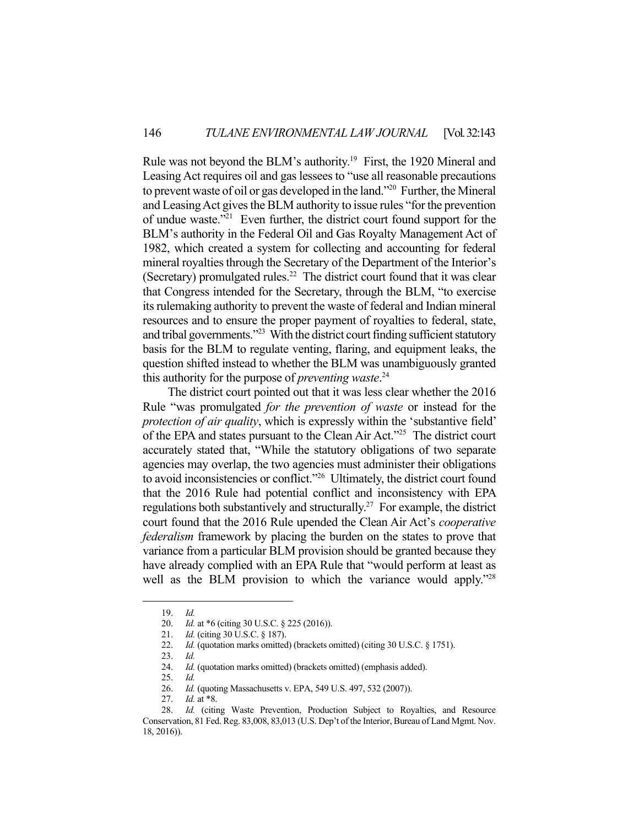Rule was not beyond the BLM's authority.<sup>19</sup> First, the 1920 Mineral and Leasing Act requires oil and gas lessees to "use all reasonable precautions to prevent waste of oil or gas developed in the land."<sup>20</sup> Further, the Mineral and Leasing Act gives the BLM authority to issue rules "for the prevention of undue waste."21 Even further, the district court found support for the BLM's authority in the Federal Oil and Gas Royalty Management Act of 1982, which created a system for collecting and accounting for federal mineral royalties through the Secretary of the Department of the Interior's (Secretary) promulgated rules.<sup>22</sup> The district court found that it was clear that Congress intended for the Secretary, through the BLM, "to exercise its rulemaking authority to prevent the waste of federal and Indian mineral resources and to ensure the proper payment of royalties to federal, state, and tribal governments."23 With the district court finding sufficient statutory basis for the BLM to regulate venting, flaring, and equipment leaks, the question shifted instead to whether the BLM was unambiguously granted this authority for the purpose of *preventing waste*. 24

 The district court pointed out that it was less clear whether the 2016 Rule "was promulgated *for the prevention of waste* or instead for the *protection of air quality*, which is expressly within the 'substantive field' of the EPA and states pursuant to the Clean Air Act."25 The district court accurately stated that, "While the statutory obligations of two separate agencies may overlap, the two agencies must administer their obligations to avoid inconsistencies or conflict."26 Ultimately, the district court found that the 2016 Rule had potential conflict and inconsistency with EPA regulations both substantively and structurally.<sup>27</sup> For example, the district court found that the 2016 Rule upended the Clean Air Act's *cooperative federalism* framework by placing the burden on the states to prove that variance from a particular BLM provision should be granted because they have already complied with an EPA Rule that "would perform at least as well as the BLM provision to which the variance would apply."<sup>28</sup>

1

27. *Id.* at \*8.

 <sup>19.</sup> *Id.*

 <sup>20.</sup> *Id.* at \*6 (citing 30 U.S.C. § 225 (2016)).

 <sup>21.</sup> *Id.* (citing 30 U.S.C. § 187).

<sup>22.</sup> *Id.* (quotation marks omitted) (brackets omitted) (citing 30 U.S.C. § 1751).

 <sup>23.</sup> *Id.*

<sup>24.</sup> *Id.* (quotation marks omitted) (brackets omitted) (emphasis added).

 <sup>25.</sup> *Id.*

 <sup>26.</sup> *Id.* (quoting Massachusetts v. EPA, 549 U.S. 497, 532 (2007)).

Id. (citing Waste Prevention, Production Subject to Royalties, and Resource Conservation, 81 Fed. Reg. 83,008, 83,013 (U.S. Dep't of the Interior, Bureau of Land Mgmt. Nov. 18, 2016)).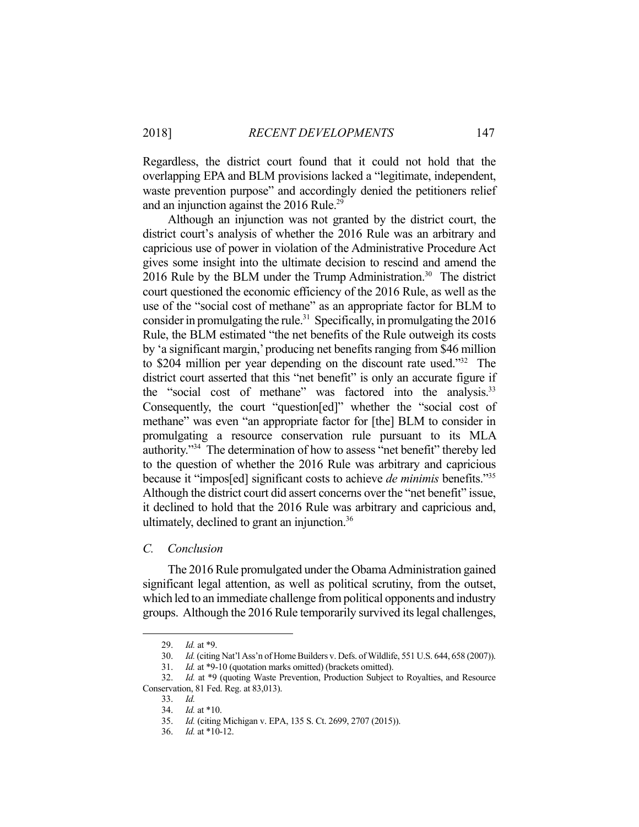Regardless, the district court found that it could not hold that the overlapping EPA and BLM provisions lacked a "legitimate, independent, waste prevention purpose" and accordingly denied the petitioners relief and an injunction against the 2016 Rule.<sup>29</sup>

 Although an injunction was not granted by the district court, the district court's analysis of whether the 2016 Rule was an arbitrary and capricious use of power in violation of the Administrative Procedure Act gives some insight into the ultimate decision to rescind and amend the 2016 Rule by the BLM under the Trump Administration.<sup>30</sup> The district court questioned the economic efficiency of the 2016 Rule, as well as the use of the "social cost of methane" as an appropriate factor for BLM to consider in promulgating the rule.<sup>31</sup> Specifically, in promulgating the  $2016$ Rule, the BLM estimated "the net benefits of the Rule outweigh its costs by 'a significant margin,' producing net benefits ranging from \$46 million to \$204 million per year depending on the discount rate used."32 The district court asserted that this "net benefit" is only an accurate figure if the "social cost of methane" was factored into the analysis.<sup>33</sup> Consequently, the court "question[ed]" whether the "social cost of methane" was even "an appropriate factor for [the] BLM to consider in promulgating a resource conservation rule pursuant to its MLA authority."34 The determination of how to assess "net benefit" thereby led to the question of whether the 2016 Rule was arbitrary and capricious because it "impos[ed] significant costs to achieve *de minimis* benefits."35 Although the district court did assert concerns over the "net benefit" issue, it declined to hold that the 2016 Rule was arbitrary and capricious and, ultimately, declined to grant an injunction.36

#### *C. Conclusion*

 The 2016 Rule promulgated under the Obama Administration gained significant legal attention, as well as political scrutiny, from the outset, which led to an immediate challenge from political opponents and industry groups. Although the 2016 Rule temporarily survived its legal challenges,

 <sup>29.</sup> *Id.* at \*9.

 <sup>30.</sup> *Id.* (citing Nat'l Ass'n of Home Builders v. Defs. of Wildlife, 551 U.S. 644, 658 (2007)).

 <sup>31.</sup> *Id.* at \*9-10 (quotation marks omitted) (brackets omitted).

 <sup>32.</sup> *Id.* at \*9 (quoting Waste Prevention, Production Subject to Royalties, and Resource Conservation, 81 Fed. Reg. at 83,013).

 <sup>33.</sup> *Id.* 

 <sup>34.</sup> *Id.* at \*10.

 <sup>35.</sup> *Id.* (citing Michigan v. EPA, 135 S. Ct. 2699, 2707 (2015)).

 <sup>36.</sup> *Id.* at \*10-12.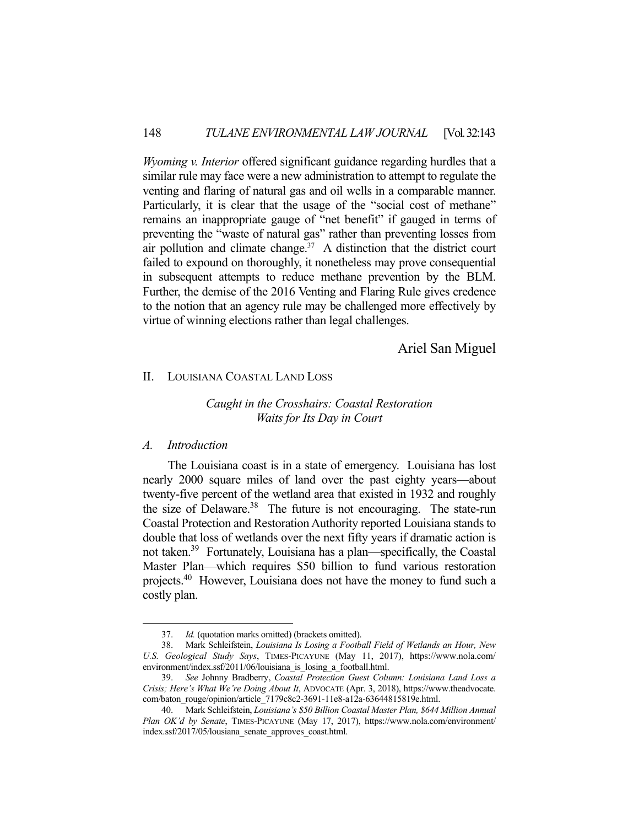*Wyoming v. Interior* offered significant guidance regarding hurdles that a similar rule may face were a new administration to attempt to regulate the venting and flaring of natural gas and oil wells in a comparable manner. Particularly, it is clear that the usage of the "social cost of methane" remains an inappropriate gauge of "net benefit" if gauged in terms of preventing the "waste of natural gas" rather than preventing losses from air pollution and climate change.<sup>37</sup> A distinction that the district court failed to expound on thoroughly, it nonetheless may prove consequential in subsequent attempts to reduce methane prevention by the BLM. Further, the demise of the 2016 Venting and Flaring Rule gives credence to the notion that an agency rule may be challenged more effectively by virtue of winning elections rather than legal challenges.

Ariel San Miguel

## II. LOUISIANA COASTAL LAND LOSS

# *Caught in the Crosshairs: Coastal Restoration Waits for Its Day in Court*

## *A. Introduction*

1

 The Louisiana coast is in a state of emergency. Louisiana has lost nearly 2000 square miles of land over the past eighty years—about twenty-five percent of the wetland area that existed in 1932 and roughly the size of Delaware.<sup>38</sup> The future is not encouraging. The state-run Coastal Protection and Restoration Authority reported Louisiana stands to double that loss of wetlands over the next fifty years if dramatic action is not taken.39 Fortunately, Louisiana has a plan—specifically, the Coastal Master Plan—which requires \$50 billion to fund various restoration projects.40 However, Louisiana does not have the money to fund such a costly plan.

 <sup>37.</sup> *Id.* (quotation marks omitted) (brackets omitted).

 <sup>38.</sup> Mark Schleifstein, *Louisiana Is Losing a Football Field of Wetlands an Hour, New U.S. Geological Study Says*, TIMES-PICAYUNE (May 11, 2017), https://www.nola.com/ environment/index.ssf/2011/06/louisiana\_is\_losing\_a\_football.html.

 <sup>39.</sup> *See* Johnny Bradberry, *Coastal Protection Guest Column: Louisiana Land Loss a Crisis; Here's What We're Doing About It*, ADVOCATE (Apr. 3, 2018), https://www.theadvocate. com/baton\_rouge/opinion/article\_7179c8c2-3691-11e8-a12a-63644815819e.html.

 <sup>40.</sup> Mark Schleifstein, *Louisiana's \$50 Billion Coastal Master Plan, \$644 Million Annual Plan OK'd by Senate*, TIMES-PICAYUNE (May 17, 2017), https://www.nola.com/environment/ index.ssf/2017/05/lousiana\_senate\_approves\_coast.html.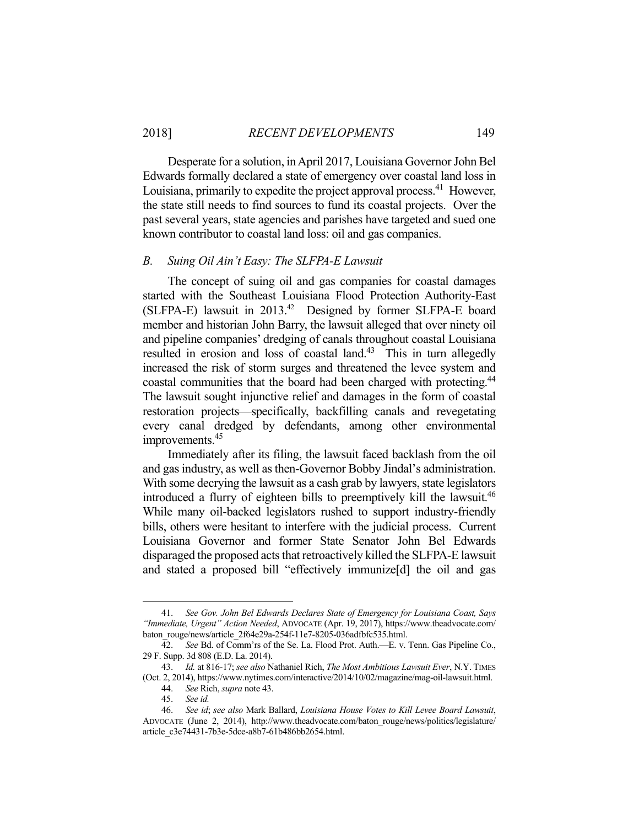## 2018] *RECENT DEVELOPMENTS* 149

 Desperate for a solution, in April 2017, Louisiana Governor John Bel Edwards formally declared a state of emergency over coastal land loss in Louisiana, primarily to expedite the project approval process.<sup>41</sup> However, the state still needs to find sources to fund its coastal projects. Over the past several years, state agencies and parishes have targeted and sued one known contributor to coastal land loss: oil and gas companies.

## *B. Suing Oil Ain't Easy: The SLFPA-E Lawsuit*

 The concept of suing oil and gas companies for coastal damages started with the Southeast Louisiana Flood Protection Authority-East (SLFPA-E) lawsuit in 2013.42 Designed by former SLFPA-E board member and historian John Barry, the lawsuit alleged that over ninety oil and pipeline companies' dredging of canals throughout coastal Louisiana resulted in erosion and loss of coastal land.<sup>43</sup> This in turn allegedly increased the risk of storm surges and threatened the levee system and coastal communities that the board had been charged with protecting.<sup>44</sup> The lawsuit sought injunctive relief and damages in the form of coastal restoration projects—specifically, backfilling canals and revegetating every canal dredged by defendants, among other environmental improvements.<sup>45</sup>

 Immediately after its filing, the lawsuit faced backlash from the oil and gas industry, as well as then-Governor Bobby Jindal's administration. With some decrying the lawsuit as a cash grab by lawyers, state legislators introduced a flurry of eighteen bills to preemptively kill the lawsuit.<sup>46</sup> While many oil-backed legislators rushed to support industry-friendly bills, others were hesitant to interfere with the judicial process. Current Louisiana Governor and former State Senator John Bel Edwards disparaged the proposed acts that retroactively killed the SLFPA-E lawsuit and stated a proposed bill "effectively immunize[d] the oil and gas

 <sup>41.</sup> *See Gov. John Bel Edwards Declares State of Emergency for Louisiana Coast, Says "Immediate, Urgent" Action Needed*, ADVOCATE (Apr. 19, 2017), https://www.theadvocate.com/ baton\_rouge/news/article\_2f64e29a-254f-11e7-8205-036adfbfc535.html.

 <sup>42.</sup> *See* Bd. of Comm'rs of the Se. La. Flood Prot. Auth.—E. v. Tenn. Gas Pipeline Co., 29 F. Supp. 3d 808 (E.D. La. 2014).

 <sup>43.</sup> *Id.* at 816-17; *see also* Nathaniel Rich, *The Most Ambitious Lawsuit Ever*, N.Y. TIMES (Oct. 2, 2014), https://www.nytimes.com/interactive/2014/10/02/magazine/mag-oil-lawsuit.html.

 <sup>44.</sup> *See* Rich, *supra* note 43.

 <sup>45.</sup> *See id.* 

 <sup>46.</sup> *See id*; *see also* Mark Ballard, *Louisiana House Votes to Kill Levee Board Lawsuit*, ADVOCATE (June 2, 2014), http://www.theadvocate.com/baton\_rouge/news/politics/legislature/ article\_c3e74431-7b3e-5dce-a8b7-61b486bb2654.html.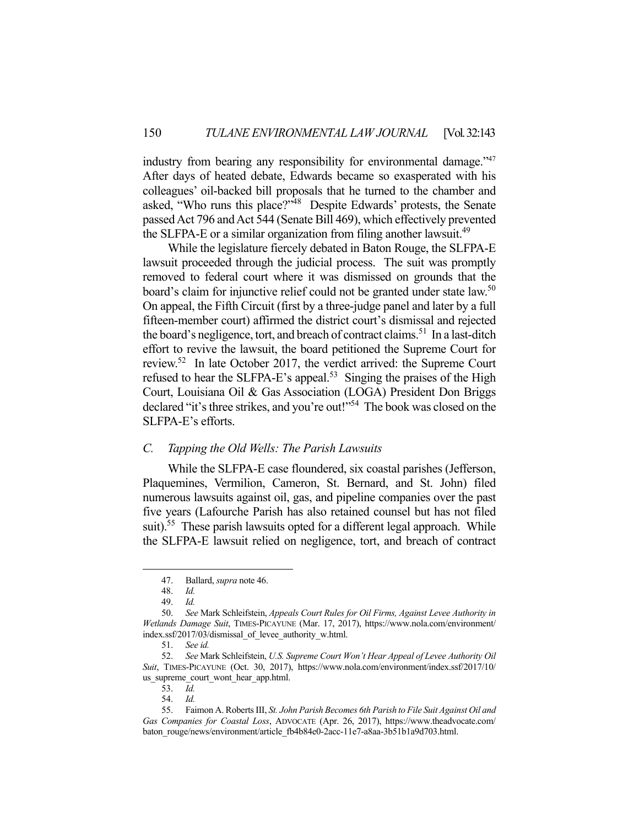industry from bearing any responsibility for environmental damage."<sup>47</sup> After days of heated debate, Edwards became so exasperated with his colleagues' oil-backed bill proposals that he turned to the chamber and asked, "Who runs this place?"<sup>48</sup> Despite Edwards' protests, the Senate passed Act 796 and Act 544 (Senate Bill 469), which effectively prevented the SLFPA-E or a similar organization from filing another lawsuit.<sup>49</sup>

 While the legislature fiercely debated in Baton Rouge, the SLFPA-E lawsuit proceeded through the judicial process. The suit was promptly removed to federal court where it was dismissed on grounds that the board's claim for injunctive relief could not be granted under state law.<sup>50</sup> On appeal, the Fifth Circuit (first by a three-judge panel and later by a full fifteen-member court) affirmed the district court's dismissal and rejected the board's negligence, tort, and breach of contract claims.<sup>51</sup> In a last-ditch effort to revive the lawsuit, the board petitioned the Supreme Court for review.52 In late October 2017, the verdict arrived: the Supreme Court refused to hear the SLFPA-E's appeal.<sup>53</sup> Singing the praises of the High Court, Louisiana Oil & Gas Association (LOGA) President Don Briggs declared "it's three strikes, and you're out!"<sup>54</sup> The book was closed on the SLFPA-E's efforts.

## *C. Tapping the Old Wells: The Parish Lawsuits*

 While the SLFPA-E case floundered, six coastal parishes (Jefferson, Plaquemines, Vermilion, Cameron, St. Bernard, and St. John) filed numerous lawsuits against oil, gas, and pipeline companies over the past five years (Lafourche Parish has also retained counsel but has not filed suit).<sup>55</sup> These parish lawsuits opted for a different legal approach. While the SLFPA-E lawsuit relied on negligence, tort, and breach of contract

<u>.</u>

 <sup>47.</sup> Ballard, *supra* note 46.

 <sup>48.</sup> *Id.* 

 <sup>49.</sup> *Id.* 

 <sup>50.</sup> *See* Mark Schleifstein, *Appeals Court Rules for Oil Firms, Against Levee Authority in Wetlands Damage Suit*, TIMES-PICAYUNE (Mar. 17, 2017), https://www.nola.com/environment/ index.ssf/2017/03/dismissal\_of\_levee\_authority\_w.html.

 <sup>51.</sup> *See id.* 

 <sup>52.</sup> *See* Mark Schleifstein, *U.S. Supreme Court Won't Hear Appeal of Levee Authority Oil Suit*, TIMES-PICAYUNE (Oct. 30, 2017), https://www.nola.com/environment/index.ssf/2017/10/ us supreme court wont hear app.html.

 <sup>53.</sup> *Id.*

 <sup>54.</sup> *Id.* 

 <sup>55.</sup> Faimon A. Roberts III, *St. John Parish Becomes 6th Parish to File Suit Against Oil and Gas Companies for Coastal Loss*, ADVOCATE (Apr. 26, 2017), https://www.theadvocate.com/ baton\_rouge/news/environment/article\_fb4b84e0-2acc-11e7-a8aa-3b51b1a9d703.html.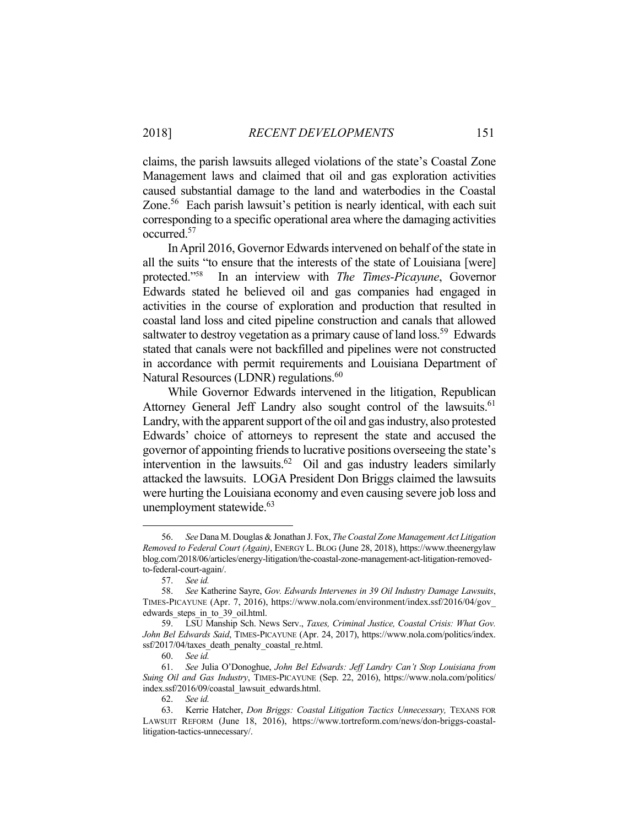claims, the parish lawsuits alleged violations of the state's Coastal Zone Management laws and claimed that oil and gas exploration activities caused substantial damage to the land and waterbodies in the Coastal Zone.<sup>56</sup> Each parish lawsuit's petition is nearly identical, with each suit corresponding to a specific operational area where the damaging activities occurred.57

 In April 2016, Governor Edwards intervened on behalf of the state in all the suits "to ensure that the interests of the state of Louisiana [were] protected."58 In an interview with *The Times-Picayune*, Governor Edwards stated he believed oil and gas companies had engaged in activities in the course of exploration and production that resulted in coastal land loss and cited pipeline construction and canals that allowed saltwater to destroy vegetation as a primary cause of land loss.<sup>59</sup> Edwards stated that canals were not backfilled and pipelines were not constructed in accordance with permit requirements and Louisiana Department of Natural Resources (LDNR) regulations.<sup>60</sup>

 While Governor Edwards intervened in the litigation, Republican Attorney General Jeff Landry also sought control of the lawsuits.<sup>61</sup> Landry, with the apparent support of the oil and gas industry, also protested Edwards' choice of attorneys to represent the state and accused the governor of appointing friends to lucrative positions overseeing the state's intervention in the lawsuits.<sup>62</sup> Oil and gas industry leaders similarly attacked the lawsuits. LOGA President Don Briggs claimed the lawsuits were hurting the Louisiana economy and even causing severe job loss and unemployment statewide.<sup>63</sup>

 <sup>56.</sup> *See* Dana M. Douglas & Jonathan J. Fox, *The Coastal Zone Management Act Litigation Removed to Federal Court (Again)*, ENERGY L. BLOG (June 28, 2018), https://www.theenergylaw blog.com/2018/06/articles/energy-litigation/the-coastal-zone-management-act-litigation-removedto-federal-court-again/.

 <sup>57.</sup> *See id.* 

 <sup>58.</sup> *See* Katherine Sayre, *Gov. Edwards Intervenes in 39 Oil Industry Damage Lawsuits*, TIMES-PICAYUNE (Apr. 7, 2016), https://www.nola.com/environment/index.ssf/2016/04/gov\_ edwards steps in to 39 oil.html.

 <sup>59.</sup> LSU Manship Sch. News Serv., *Taxes, Criminal Justice, Coastal Crisis: What Gov. John Bel Edwards Said*, TIMES-PICAYUNE (Apr. 24, 2017), https://www.nola.com/politics/index. ssf/2017/04/taxes\_death\_penalty\_coastal\_re.html.

 <sup>60.</sup> *See id.* 

 <sup>61.</sup> *See* Julia O'Donoghue, *John Bel Edwards: Jeff Landry Can't Stop Louisiana from Suing Oil and Gas Industry*, TIMES-PICAYUNE (Sep. 22, 2016), https://www.nola.com/politics/ index.ssf/2016/09/coastal\_lawsuit\_edwards.html.

 <sup>62.</sup> *See id.* 

 <sup>63.</sup> Kerrie Hatcher, *Don Briggs: Coastal Litigation Tactics Unnecessary,* TEXANS FOR LAWSUIT REFORM (June 18, 2016), https://www.tortreform.com/news/don-briggs-coastallitigation-tactics-unnecessary/.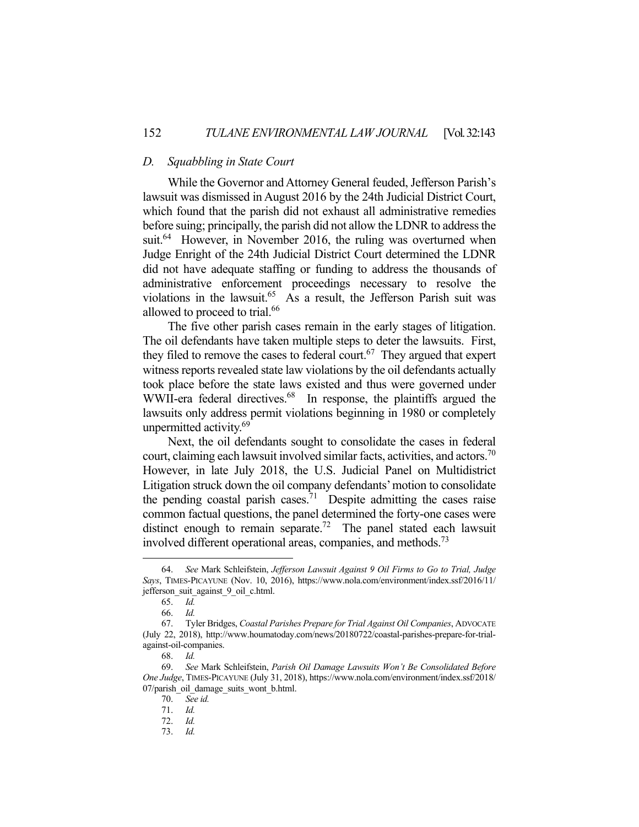#### *D. Squabbling in State Court*

 While the Governor and Attorney General feuded, Jefferson Parish's lawsuit was dismissed in August 2016 by the 24th Judicial District Court, which found that the parish did not exhaust all administrative remedies before suing; principally, the parish did not allow the LDNR to address the suit.<sup>64</sup> However, in November 2016, the ruling was overturned when Judge Enright of the 24th Judicial District Court determined the LDNR did not have adequate staffing or funding to address the thousands of administrative enforcement proceedings necessary to resolve the violations in the lawsuit.<sup>65</sup> As a result, the Jefferson Parish suit was allowed to proceed to trial.<sup>66</sup>

 The five other parish cases remain in the early stages of litigation. The oil defendants have taken multiple steps to deter the lawsuits. First, they filed to remove the cases to federal court.<sup>67</sup> They argued that expert witness reports revealed state law violations by the oil defendants actually took place before the state laws existed and thus were governed under WWII-era federal directives.<sup>68</sup> In response, the plaintiffs argued the lawsuits only address permit violations beginning in 1980 or completely unpermitted activity.<sup>69</sup>

 Next, the oil defendants sought to consolidate the cases in federal court, claiming each lawsuit involved similar facts, activities, and actors.<sup>70</sup> However, in late July 2018, the U.S. Judicial Panel on Multidistrict Litigation struck down the oil company defendants' motion to consolidate the pending coastal parish cases.<sup>71</sup> Despite admitting the cases raise common factual questions, the panel determined the forty-one cases were distinct enough to remain separate.<sup>72</sup> The panel stated each lawsuit involved different operational areas, companies, and methods.<sup>73</sup>

 <sup>64.</sup> *See* Mark Schleifstein, *Jefferson Lawsuit Against 9 Oil Firms to Go to Trial, Judge Says*, TIMES-PICAYUNE (Nov. 10, 2016), https://www.nola.com/environment/index.ssf/2016/11/ jefferson\_suit\_against\_9\_oil\_c.html.

 <sup>65.</sup> *Id.* 

 <sup>66.</sup> *Id.* 

 <sup>67.</sup> Tyler Bridges, *Coastal Parishes Prepare for Trial Against Oil Companies*, ADVOCATE (July 22, 2018), http://www.houmatoday.com/news/20180722/coastal-parishes-prepare-for-trialagainst-oil-companies.

 <sup>68.</sup> *Id.* 

 <sup>69.</sup> *See* Mark Schleifstein, *Parish Oil Damage Lawsuits Won't Be Consolidated Before One Judge*, TIMES-PICAYUNE (July 31, 2018), https://www.nola.com/environment/index.ssf/2018/ 07/parish\_oil\_damage\_suits\_wont\_b.html.

 <sup>70.</sup> *See id.* 

 <sup>71.</sup> *Id.* 

 <sup>72.</sup> *Id.* 

 <sup>73.</sup> *Id.*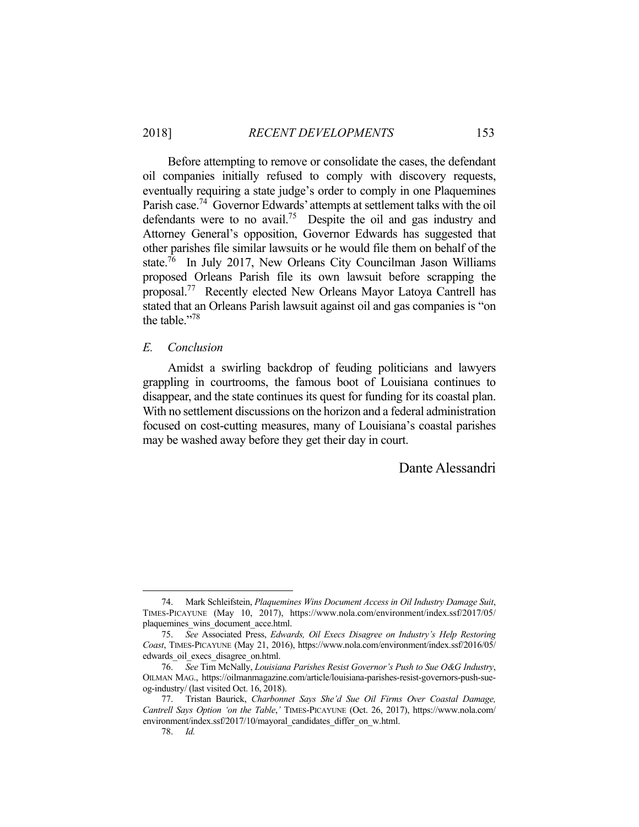Before attempting to remove or consolidate the cases, the defendant oil companies initially refused to comply with discovery requests, eventually requiring a state judge's order to comply in one Plaquemines Parish case.<sup>74</sup> Governor Edwards' attempts at settlement talks with the oil defendants were to no avail.<sup>75</sup> Despite the oil and gas industry and Attorney General's opposition, Governor Edwards has suggested that other parishes file similar lawsuits or he would file them on behalf of the state.<sup>76</sup> In July 2017, New Orleans City Councilman Jason Williams proposed Orleans Parish file its own lawsuit before scrapping the proposal.77 Recently elected New Orleans Mayor Latoya Cantrell has stated that an Orleans Parish lawsuit against oil and gas companies is "on the table."<sup>78</sup>

#### *E. Conclusion*

 Amidst a swirling backdrop of feuding politicians and lawyers grappling in courtrooms, the famous boot of Louisiana continues to disappear, and the state continues its quest for funding for its coastal plan. With no settlement discussions on the horizon and a federal administration focused on cost-cutting measures, many of Louisiana's coastal parishes may be washed away before they get their day in court.

# Dante Alessandri

<u>.</u>

 <sup>74.</sup> Mark Schleifstein, *Plaquemines Wins Document Access in Oil Industry Damage Suit*, TIMES-PICAYUNE (May 10, 2017), https://www.nola.com/environment/index.ssf/2017/05/ plaquemines\_wins\_document\_acce.html.

 <sup>75.</sup> *See* Associated Press, *Edwards, Oil Execs Disagree on Industry's Help Restoring Coast*, TIMES-PICAYUNE (May 21, 2016), https://www.nola.com/environment/index.ssf/2016/05/ edwards\_oil\_execs\_disagree\_on.html.

 <sup>76.</sup> *See* Tim McNally, *Louisiana Parishes Resist Governor's Push to Sue O&G Industry*, OILMAN MAG., https://oilmanmagazine.com/article/louisiana-parishes-resist-governors-push-sueog-industry/ (last visited Oct. 16, 2018).

 <sup>77.</sup> Tristan Baurick, *Charbonnet Says She'd Sue Oil Firms Over Coastal Damage, Cantrell Says Option 'on the Table*,*'* TIMES-PICAYUNE (Oct. 26, 2017), https://www.nola.com/ environment/index.ssf/2017/10/mayoral\_candidates\_differ\_on\_w.html.

 <sup>78.</sup> *Id.*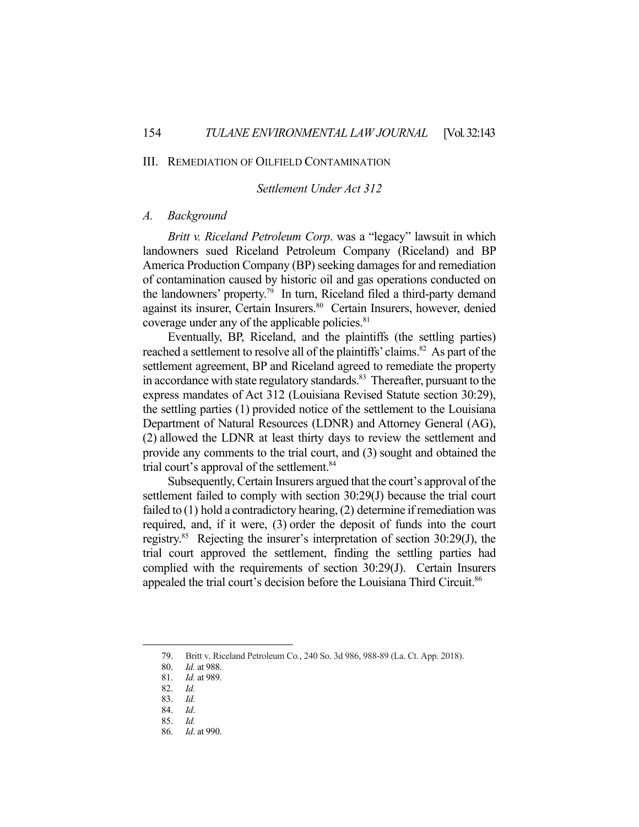#### III. REMEDIATION OF OILFIELD CONTAMINATION

## *Settlement Under Act 312*

#### *A. Background*

 *Britt v. Riceland Petroleum Corp*. was a "legacy" lawsuit in which landowners sued Riceland Petroleum Company (Riceland) and BP America Production Company (BP) seeking damages for and remediation of contamination caused by historic oil and gas operations conducted on the landowners' property.79 In turn, Riceland filed a third-party demand against its insurer, Certain Insurers.<sup>80</sup> Certain Insurers, however, denied coverage under any of the applicable policies. $81$ 

 Eventually, BP, Riceland, and the plaintiffs (the settling parties) reached a settlement to resolve all of the plaintiffs' claims.<sup>82</sup> As part of the settlement agreement, BP and Riceland agreed to remediate the property in accordance with state regulatory standards.<sup>83</sup> Thereafter, pursuant to the express mandates of Act 312 (Louisiana Revised Statute section 30:29), the settling parties (1) provided notice of the settlement to the Louisiana Department of Natural Resources (LDNR) and Attorney General (AG), (2) allowed the LDNR at least thirty days to review the settlement and provide any comments to the trial court, and (3) sought and obtained the trial court's approval of the settlement.<sup>84</sup>

 Subsequently, Certain Insurers argued that the court's approval of the settlement failed to comply with section 30:29(J) because the trial court failed to (1) hold a contradictory hearing, (2) determine if remediation was required, and, if it were, (3) order the deposit of funds into the court registry.85 Rejecting the insurer's interpretation of section 30:29(J), the trial court approved the settlement, finding the settling parties had complied with the requirements of section 30:29(J). Certain Insurers appealed the trial court's decision before the Louisiana Third Circuit.<sup>86</sup>

<u>.</u>

 <sup>79.</sup> Britt v. Riceland Petroleum Co*.*, 240 So. 3d 986, 988-89 (La. Ct. App. 2018).

 <sup>80.</sup> *Id.* at 988.

 <sup>81.</sup> *Id.* at 989.

 <sup>82.</sup> *Id.*

 <sup>83.</sup> *Id.*

 <sup>84.</sup> *Id*.

 <sup>85.</sup> *Id.*

 <sup>86.</sup> *Id*. at 990.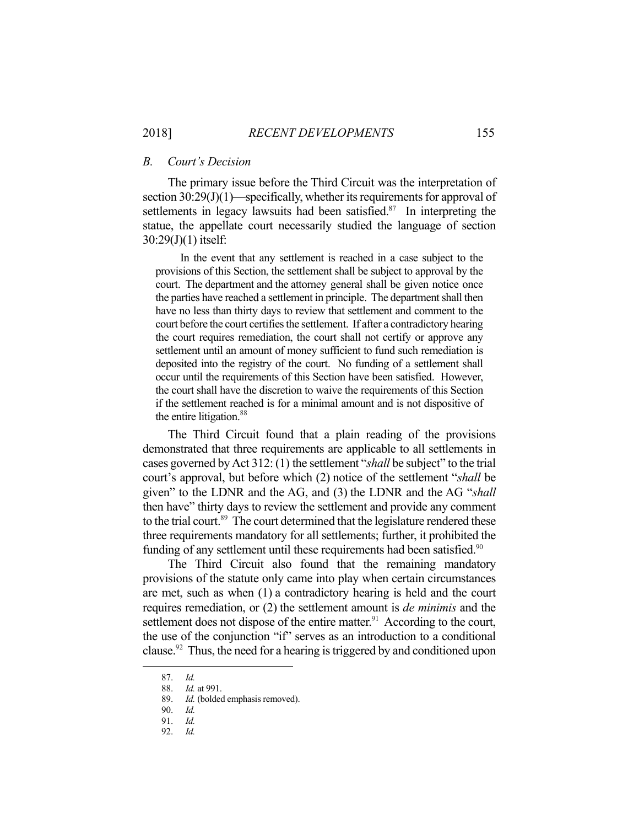#### *B. Court's Decision*

 The primary issue before the Third Circuit was the interpretation of section 30:29(J)(1)—specifically, whether its requirements for approval of settlements in legacy lawsuits had been satisfied.<sup>87</sup> In interpreting the statue, the appellate court necessarily studied the language of section 30:29(J)(1) itself:

 In the event that any settlement is reached in a case subject to the provisions of this Section, the settlement shall be subject to approval by the court. The department and the attorney general shall be given notice once the parties have reached a settlement in principle. The department shall then have no less than thirty days to review that settlement and comment to the court before the court certifies the settlement. If after a contradictory hearing the court requires remediation, the court shall not certify or approve any settlement until an amount of money sufficient to fund such remediation is deposited into the registry of the court. No funding of a settlement shall occur until the requirements of this Section have been satisfied. However, the court shall have the discretion to waive the requirements of this Section if the settlement reached is for a minimal amount and is not dispositive of the entire litigation.<sup>88</sup>

 The Third Circuit found that a plain reading of the provisions demonstrated that three requirements are applicable to all settlements in cases governed by Act 312: (1) the settlement "*shall* be subject" to the trial court's approval, but before which (2) notice of the settlement "*shall* be given" to the LDNR and the AG, and (3) the LDNR and the AG "*shall*  then have" thirty days to review the settlement and provide any comment to the trial court.<sup>89</sup> The court determined that the legislature rendered these three requirements mandatory for all settlements; further, it prohibited the funding of any settlement until these requirements had been satisfied.<sup>90</sup>

 The Third Circuit also found that the remaining mandatory provisions of the statute only came into play when certain circumstances are met, such as when (1) a contradictory hearing is held and the court requires remediation, or (2) the settlement amount is *de minimis* and the settlement does not dispose of the entire matter.<sup>91</sup> According to the court, the use of the conjunction "if" serves as an introduction to a conditional clause.<sup>92</sup> Thus, the need for a hearing is triggered by and conditioned upon

 <sup>87.</sup> *Id.* 

 <sup>88.</sup> *Id.* at 991.

 <sup>89.</sup> *Id.* (bolded emphasis removed).

 <sup>90.</sup> *Id.*

 <sup>91.</sup> *Id.*

 <sup>92.</sup> *Id.*